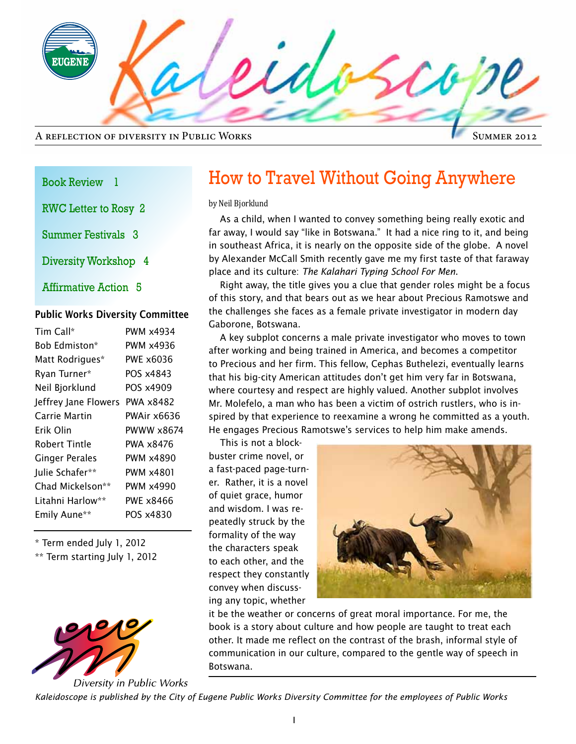**UGEN** A reflection of diversity in Public Works

#### Summer 2012

#### Book Review 1

RWC Letter to Rosy 2

Summer Festivals 3

Diversity Workshop 4

Affirmative Action 5

### Public Works Diversity Committee

| Tim Call*            | PWM x4934   |
|----------------------|-------------|
| Bob Edmiston*        | PWM x4936   |
| Matt Rodrigues*      | PWF x6036   |
| Ryan Turner*         | POS x4843   |
| Neil Bjorklund       | POS x4909   |
| Jeffrey Jane Flowers | PWA x8482   |
| Carrie Martin        | PWAir x6636 |
| Erik Olin            | PWWW x8674  |
| Robert Tintle        | PWA x8476   |
| Ginger Perales       | PWM x4890   |
| Julie Schafer**      | PWM x4801   |
| Chad Mickelson**     | PWM x4990   |
| Litahni Harlow**     | PWE x8466   |
| Emily Aune**         | POS x4830   |
|                      |             |

\* Term ended July 1, 2012

\*\* Term starting July 1, 2012



### How to Travel Without Going Anywhere

by Neil Bjorklund

As a child, when I wanted to convey something being really exotic and far away, I would say "like in Botswana." It had a nice ring to it, and being in southeast Africa, it is nearly on the opposite side of the globe. A novel by Alexander McCall Smith recently gave me my first taste of that faraway place and its culture: *The Kalahari Typing School For Men*.

Right away, the title gives you a clue that gender roles might be a focus of this story, and that bears out as we hear about Precious Ramotswe and the challenges she faces as a female private investigator in modern day Gaborone, Botswana.

A key subplot concerns a male private investigator who moves to town after working and being trained in America, and becomes a competitor to Precious and her firm. This fellow, Cephas Buthelezi, eventually learns that his big-city American attitudes don't get him very far in Botswana, where courtesy and respect are highly valued. Another subplot involves Mr. Molefelo, a man who has been a victim of ostrich rustlers, who is inspired by that experience to reexamine a wrong he committed as a youth. He engages Precious Ramotswe's services to help him make amends.

This is not a blockbuster crime novel, or a fast-paced page-turner. Rather, it is a novel of quiet grace, humor and wisdom. I was repeatedly struck by the formality of the way the characters speak to each other, and the respect they constantly convey when discussing any topic, whether



it be the weather or concerns of great moral importance. For me, the book is a story about culture and how people are taught to treat each other. It made me reflect on the contrast of the brash, informal style of communication in our culture, compared to the gentle way of speech in Botswana.

*Kaleidoscope is published by the City of Eugene Public Works Diversity Committee for the employees of Public Works*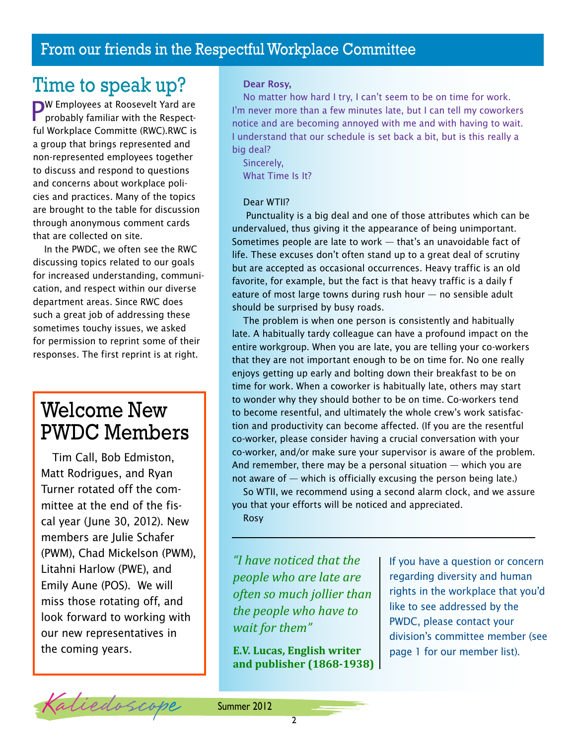### From our friends in the Respectful Workplace Committee

### Time to speak up?

PW Employees at Roosevelt Yard are probably familiar with the Respectful Workplace Committe (RWC).RWC is a group that brings represented and non-represented employees together to discuss and respond to questions and concerns about workplace policies and practices. Many of the topics are brought to the table for discussion through anonymous comment cards that are collected on site.

In the PWDC, we often see the RWC discussing topics related to our goals for increased understanding, communication, and respect within our diverse department areas. Since RWC does such a great job of addressing these sometimes touchy issues, we asked for permission to reprint some of their responses. The first reprint is at right.

# Welcome New PWDC Members

Tim Call, Bob Edmiston, Matt Rodrigues, and Ryan Turner rotated off the committee at the end of the fiscal year (June 30, 2012). New members are Julie Schafer (PWM), Chad Mickelson (PWM), Litahni Harlow (PWE), and Emily Aune (POS). We will miss those rotating off, and look forward to working with our new representatives in the coming years.

### Dear Rosy,

No matter how hard I try, I can't seem to be on time for work. I'm never more than a few minutes late, but I can tell my coworkers notice and are becoming annoyed with me and with having to wait. I understand that our schedule is set back a bit, but is this really a big deal?

Sincerely, What Time Is It?

#### Dear WTII?

 Punctuality is a big deal and one of those attributes which can be undervalued, thus giving it the appearance of being unimportant. Sometimes people are late to work — that's an unavoidable fact of life. These excuses don't often stand up to a great deal of scrutiny but are accepted as occasional occurrences. Heavy traffic is an old favorite, for example, but the fact is that heavy traffic is a daily f eature of most large towns during rush hour — no sensible adult should be surprised by busy roads.

The problem is when one person is consistently and habitually late. A habitually tardy colleague can have a profound impact on the entire workgroup. When you are late, you are telling your co-workers that they are not important enough to be on time for. No one really enjoys getting up early and bolting down their breakfast to be on time for work. When a coworker is habitually late, others may start to wonder why they should bother to be on time. Co-workers tend to become resentful, and ultimately the whole crew's work satisfaction and productivity can become affected. (If you are the resentful co-worker, please consider having a crucial conversation with your co-worker, and/or make sure your supervisor is aware of the problem. And remember, there may be a personal situation — which you are not aware of  $-$  which is officially excusing the person being late.)

So WTII, we recommend using a second alarm clock, and we assure you that your efforts will be noticed and appreciated.

Rosy

*"I have noticed that the people who are late are often so much jollier than the people who have to wait for them"*

**E.V. Lucas, English writer and publisher (1868-1938)** If you have a question or concern regarding diversity and human rights in the workplace that you'd like to see addressed by the PWDC, please contact your division's committee member (see page 1 for our member list).

Kaliedoscope Summer 2012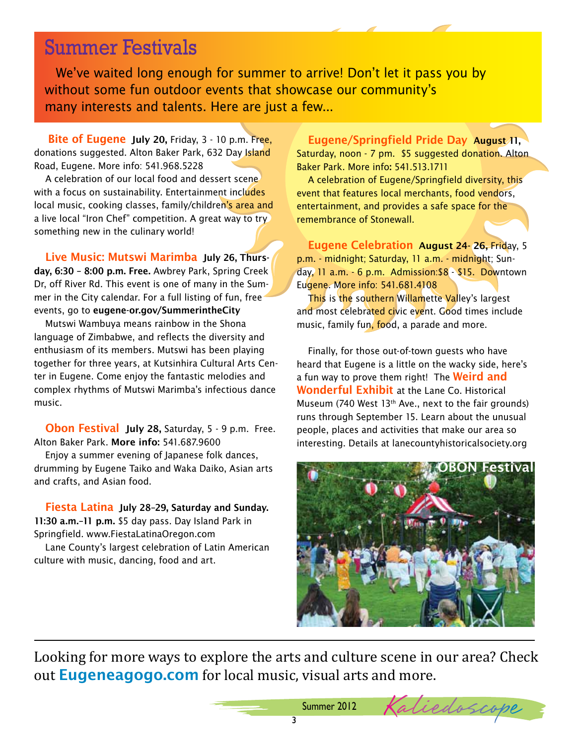# Summer Festivals

We've waited long enough for summer to arrive! Don't let it pass you by without some fun outdoor events that showcase our community's many interests and talents. Here are just a few...

Bite of Eugene July 20, Friday, 3 - 10 p.m. Free, donations suggested. Alton Baker Park, 632 Day Island Road, Eugene. More info: 541.968.5228

A celebration of our local food and dessert scene with a focus on sustainability. Entertainment includes local music, cooking classes, family/children's area and a live local "Iron Chef" competition. A great way to try something new in the culinary world!

Live Music: Mutswi Marimba July 26, Thursday, 6:30 – 8:00 p.m. Free. Awbrey Park, Spring Creek Dr, off River Rd. This event is one of many in the Summer in the City calendar. For a full listing of fun, free events, go to eugene-or.gov/SummerintheCity

Mutswi Wambuya means rainbow in the Shona language of Zimbabwe, and reflects the diversity and enthusiasm of its members. Mutswi has been playing together for three years, at Kutsinhira Cultural Arts Center in Eugene. Come enjoy the fantastic melodies and complex rhythms of Mutswi Marimba's infectious dance music.

Obon Festival July 28, Saturday, 5 - 9 p.m. Free. Alton Baker Park. More info: 541.687.9600

Enjoy a summer evening of Japanese folk dances, drumming by Eugene Taiko and Waka Daiko, Asian arts and crafts, and Asian food.

Fiesta Latina July 28–29, Saturday and Sunday. 11:30 a.m.-11 p.m. \$5 day pass. Day Island Park in Springfield. www.FiestaLatinaOregon.com

Lane County's largest celebration of Latin American culture with music, dancing, food and art.

Eugene/Springfield Pride Day August 11, Saturday, noon - 7 pm. \$5 suggested donation. Alton Baker Park. More info: 541.513.1711

A celebration of Eugene/Springfield diversity, this event that features local merchants, food vendors, entertainment, and provides a safe space for the remembrance of Stonewall.

Eugene Celebration August 24- 26, Friday, 5 p.m. - midnight; Saturday, 11 a.m. - midnight; Sunday, 11 a.m. - 6 p.m. Admission:\$8 - \$15. Downtown Eugene. More info: 541.681.4108

This is the southern Willamette Valley's largest and most celebrated civic event. Good times include music, family fun, food, a parade and more.

Finally, for those out-of-town guests who have heard that Eugene is a little on the wacky side, here's a fun way to prove them right! The **Weird and** Wonderful Exhibit at the Lane Co. Historical Museum (740 West 13<sup>th</sup> Ave., next to the fair grounds) runs through September 15. Learn about the unusual people, places and activities that make our area so interesting. Details at lanecountyhistoricalsociety.org



Summer 2012 Kaliedoscope

Looking for more ways to explore the arts and culture scene in our area? Check out **Eugeneagogo.com** for local music, visual arts and more.

3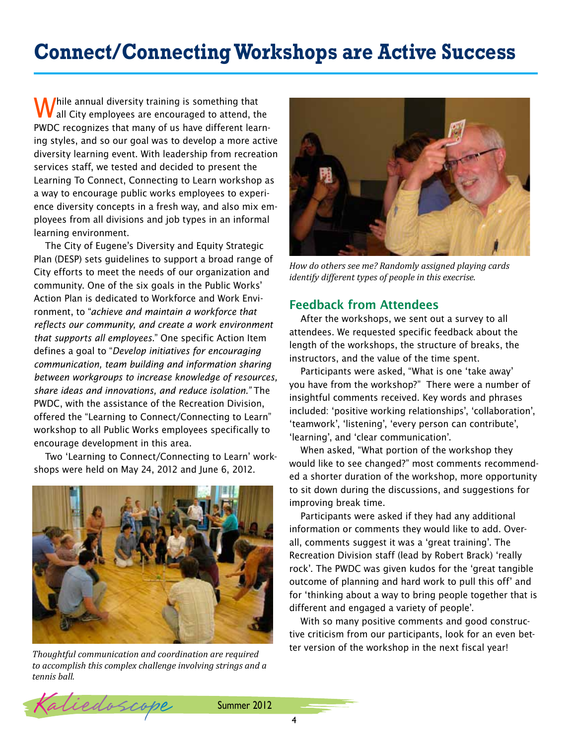# **Connect/Connecting Workshops are Active Success**

While annual diversity training is something that<br>Wall City employees are encouraged to attend, the PWDC recognizes that many of us have different learning styles, and so our goal was to develop a more active diversity learning event. With leadership from recreation services staff, we tested and decided to present the Learning To Connect, Connecting to Learn workshop as a way to encourage public works employees to experience diversity concepts in a fresh way, and also mix employees from all divisions and job types in an informal learning environment.

The City of Eugene's Diversity and Equity Strategic Plan (DESP) sets guidelines to support a broad range of City efforts to meet the needs of our organization and community. One of the six goals in the Public Works' Action Plan is dedicated to Workforce and Work Environment, to "*achieve and maintain a workforce that reflects our community, and create a work environment that supports all employees*." One specific Action Item defines a goal to "*Develop initiatives for encouraging communication, team building and information sharing between workgroups to increase knowledge of resources, share ideas and innovations, and reduce isolation."* The PWDC, with the assistance of the Recreation Division, offered the "Learning to Connect/Connecting to Learn" workshop to all Public Works employees specifically to encourage development in this area.

Two 'Learning to Connect/Connecting to Learn' workshops were held on May 24, 2012 and June 6, 2012.



*to accomplish this complex challenge involving strings and a tennis ball.* 



*How do others see me? Randomly assigned playing cards identify different types of people in this execrise.* 

### Feedback from Attendees

After the workshops, we sent out a survey to all attendees. We requested specific feedback about the length of the workshops, the structure of breaks, the instructors, and the value of the time spent.

Participants were asked, "What is one 'take away' you have from the workshop?" There were a number of insightful comments received. Key words and phrases included: 'positive working relationships', 'collaboration', 'teamwork', 'listening', 'every person can contribute', 'learning', and 'clear communication'.

When asked, "What portion of the workshop they would like to see changed?" most comments recommended a shorter duration of the workshop, more opportunity to sit down during the discussions, and suggestions for improving break time.

Participants were asked if they had any additional information or comments they would like to add. Overall, comments suggest it was a 'great training'. The Recreation Division staff (lead by Robert Brack) 'really rock'. The PWDC was given kudos for the 'great tangible outcome of planning and hard work to pull this off' and for 'thinking about a way to bring people together that is different and engaged a variety of people'.

With so many positive comments and good constructive criticism from our participants, look for an even better version of the workshop in the next fiscal year! *Thoughtful communication and coordination are required*